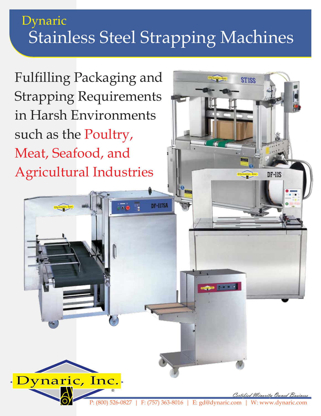## Stainless Steel Strapping Machines Dynaric

**DF-117SA** 

 $\overline{\cdots}$ 

Fulfilling Packaging and Strapping Requirements in Harsh Environments such as the Poultry, Meat, Seafood, and Agricultural Industries

Dynaric, Inc.®

Dynaric, Inc.

®

Dynaric, Inc.®

 $DF$ - $11S$ 

**STISS**